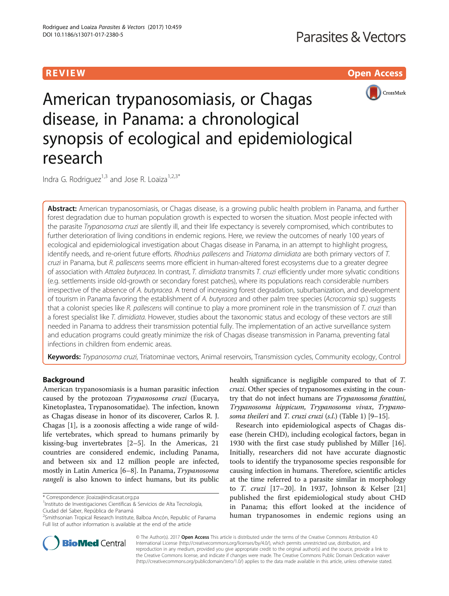R EVI EW Open Access



American trypanosomiasis, or Chagas disease, in Panama: a chronological synopsis of ecological and epidemiological research

Indra G. Rodriguez<sup>1,3</sup> and Jose R. Loaiza<sup>1,2,3\*</sup>

Abstract: American trypanosomiasis, or Chagas disease, is a growing public health problem in Panama, and further forest degradation due to human population growth is expected to worsen the situation. Most people infected with the parasite Trypanosoma cruzi are silently ill, and their life expectancy is severely compromised, which contributes to further deterioration of living conditions in endemic regions. Here, we review the outcomes of nearly 100 years of ecological and epidemiological investigation about Chagas disease in Panama, in an attempt to highlight progress, identify needs, and re-orient future efforts. Rhodnius pallescens and Triatoma dimidiata are both primary vectors of T. cruzi in Panama, but R. pallescens seems more efficient in human-altered forest ecosystems due to a greater degree of association with Attalea butyracea. In contrast, T. dimidiata transmits T. cruzi efficiently under more sylvatic conditions (e.g. settlements inside old-growth or secondary forest patches), where its populations reach considerable numbers irrespective of the absence of A. butyracea. A trend of increasing forest degradation, suburbanization, and development of tourism in Panama favoring the establishment of A. butyracea and other palm tree species (Acrocomia sp.) suggests that a colonist species like R. pallescens will continue to play a more prominent role in the transmission of T. cruzi than a forest specialist like T. dimidiata. However, studies about the taxonomic status and ecology of these vectors are still needed in Panama to address their transmission potential fully. The implementation of an active surveillance system and education programs could greatly minimize the risk of Chagas disease transmission in Panama, preventing fatal infections in children from endemic areas.

Keywords: Trypanosoma cruzi, Triatominae vectors, Animal reservoirs, Transmission cycles, Community ecology, Control

## Background

American trypanosomiasis is a human parasitic infection caused by the protozoan Trypanosoma cruzi (Eucarya, Kinetoplastea, Trypanosomatidae). The infection, known as Chagas disease in honor of its discoverer, Carlos R. J. Chagas [[1\]](#page-12-0), is a zoonosis affecting a wide range of wildlife vertebrates, which spread to humans primarily by kissing-bug invertebrates [[2](#page-12-0)–[5](#page-12-0)]. In the Americas, 21 countries are considered endemic, including Panama, and between six and 12 million people are infected, mostly in Latin America [\[6](#page-12-0)–[8](#page-13-0)]. In Panama, Trypanosoma rangeli is also known to infect humans, but its public

\* Correspondence: [jloaiza@indicasat.org.pa](mailto:jloaiza@indicasat.org.pa) <sup>1</sup>

<sup>1</sup>Instituto de Investigaciones Científicas & Servicios de Alta Tecnología, Ciudad del Saber, República de Panamá

<sup>2</sup>Smithsonian Tropical Research Institute, Balboa Ancón, Republic of Panama Full list of author information is available at the end of the article

health significance is negligible compared to that of T. cruzi. Other species of trypanosomes existing in the country that do not infect humans are Trypanosoma forattini, Trypanosoma hippicum, Trypanosoma vivax, Trypanosoma theileri and T. cruzi cruzi  $(s.l.)$  (Table [1\)](#page-1-0) [\[9](#page-13-0)-[15\]](#page-13-0).

Research into epidemiological aspects of Chagas disease (herein CHD), including ecological factors, began in 1930 with the first case study published by Miller [\[16](#page-13-0)]. Initially, researchers did not have accurate diagnostic tools to identify the trypanosome species responsible for causing infection in humans. Therefore, scientific articles at the time referred to a parasite similar in morphology to T. cruzi [\[17](#page-13-0)–[20](#page-13-0)]. In 1937, Johnson & Kelser [[21](#page-13-0)] published the first epidemiological study about CHD in Panama; this effort looked at the incidence of human trypanosomes in endemic regions using an



© The Author(s). 2017 Open Access This article is distributed under the terms of the Creative Commons Attribution 4.0 International License [\(http://creativecommons.org/licenses/by/4.0/](http://creativecommons.org/licenses/by/4.0/)), which permits unrestricted use, distribution, and reproduction in any medium, provided you give appropriate credit to the original author(s) and the source, provide a link to the Creative Commons license, and indicate if changes were made. The Creative Commons Public Domain Dedication waiver [\(http://creativecommons.org/publicdomain/zero/1.0/](http://creativecommons.org/publicdomain/zero/1.0/)) applies to the data made available in this article, unless otherwise stated.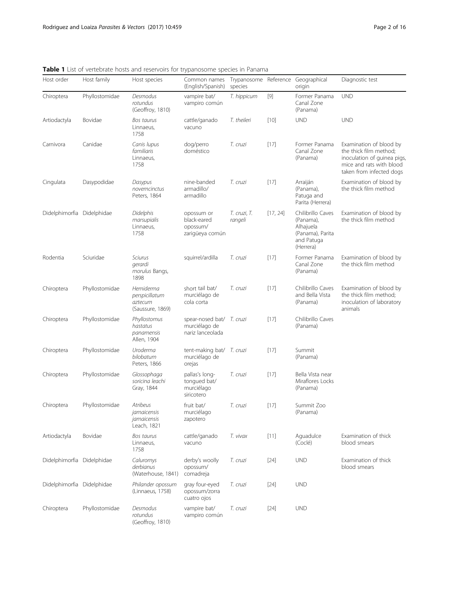| Host order                 | Host family    | Host species                                                 | Common names<br>(English/Spanish)                              | Trypanosome Reference Geographical<br>species |          | origin                                                                                     | Diagnostic test                                                                                                                          |
|----------------------------|----------------|--------------------------------------------------------------|----------------------------------------------------------------|-----------------------------------------------|----------|--------------------------------------------------------------------------------------------|------------------------------------------------------------------------------------------------------------------------------------------|
| Chiroptera                 | Phyllostomidae | Desmodus<br>rotundus<br>(Geoffroy, 1810)                     | vampire bat/<br>vampiro común                                  | T. hippicum                                   |          | Former Panama<br>Canal Zone<br>(Panama)                                                    | <b>UND</b>                                                                                                                               |
| Artiodactyla               | Bovidae        | Bos taurus<br>Linnaeus,<br>1758                              | cattle/ganado<br>vacuno                                        | T. theileri                                   | $[10]$   | <b>UND</b>                                                                                 | <b>UND</b>                                                                                                                               |
| Carnivora                  | Canidae        | Canis lupus<br>familiaris<br>Linnaeus,<br>1758               | dog/perro<br>doméstico                                         | T. cruzi                                      | $[17]$   | Former Panama<br>Canal Zone<br>(Panama)                                                    | Examination of blood by<br>the thick film method;<br>inoculation of guinea pigs,<br>mice and rats with blood<br>taken from infected dogs |
| Cingulata                  | Dasypodidae    | Dasypus<br>novemcinctus<br>Peters, 1864                      | nine-banded<br>armadillo/<br>armadillo                         | T. cruzi                                      | $[17]$   | Arraiján<br>(Panama),<br>Patuga and<br>Parita (Herrera)                                    | Examination of blood by<br>the thick film method                                                                                         |
| Didelphimorfia Didelphidae |                | Didelphis<br>marsupialis<br>Linnaeus,<br>1758                | opossum or<br>black-eared<br>opossum/<br>zarigüeya común       | T. cruzi, T.<br>rangeli                       | [17, 24] | Chilibrillo Caves<br>(Panama),<br>Alhajuela<br>(Panama), Parita<br>and Patuga<br>(Herrera) | Examination of blood by<br>the thick film method                                                                                         |
| Rodentia                   | Sciuridae      | <b>Sciurus</b><br>gerardi<br>morulus Bangs,<br>1898          | squirrel/ardilla                                               | T. cruzi                                      | $[17]$   | Former Panama<br>Canal Zone<br>(Panama)                                                    | Examination of blood by<br>the thick film method                                                                                         |
| Chiroptera                 | Phyllostomidae | Hemiderma<br>perspicillatum<br>aztecum<br>(Saussure, 1869)   | short tail bat/<br>murciélago de<br>cola corta                 | T. cruzi                                      | $[17]$   | Chilibrillo Caves<br>and Bella Vista<br>(Panama)                                           | Examination of blood by<br>the thick film method;<br>inoculation of laboratory<br>animals                                                |
| Chiroptera                 | Phyllostomidae | Phyllostomus<br>hastatus<br>panamensis<br>Allen, 1904        | spear-nosed bat/ T. cruzi<br>murciélago de<br>nariz lanceolada |                                               | $[17]$   | Chilibrillo Caves<br>(Panama)                                                              |                                                                                                                                          |
| Chiroptera                 | Phyllostomidae | Uroderma<br>bilobatum<br>Peters, 1866                        | tent-making bat/<br>murciélago de<br>orejas                    | T. cruzi                                      | $[17]$   | Summit<br>(Panama)                                                                         |                                                                                                                                          |
| Chiroptera                 | Phyllostomidae | Glossophaga<br>soricina leachi<br>Gray, 1844                 | pallas's long-<br>tonqued bat/<br>murciélago<br>siricotero     | T. cruzi                                      | $[17]$   | Bella Vista near<br>Miraflores Locks<br>(Panama)                                           |                                                                                                                                          |
| Chiroptera                 | Phyllostomidae | <b>Atribeus</b><br>jamaicensis<br>jamaicensis<br>Leach, 1821 | fruit bat/<br>murciélago<br>zapotero                           | T. cruzi                                      | $[17]$   | Summit Zoo<br>(Panama)                                                                     |                                                                                                                                          |
| Artiodactyla               | Bovidae        | Bos taurus<br>Linnaeus,<br>1758                              | cattle/ganado<br>vacuno                                        | T. vivax                                      | $[11]$   | Aquadulce<br>(Coclé)                                                                       | Examination of thick<br>blood smears                                                                                                     |
| Didelphimorfia Didelphidae |                | Caluromys<br>derbianus<br>(Waterhouse, 1841)                 | derby's woolly<br>opossum/<br>comadreja                        | T. cruzi                                      | $[24]$   | <b>UND</b>                                                                                 | Examination of thick<br>blood smears                                                                                                     |
| Didelphimorfia Didelphidae |                | Philander opossum<br>(Linnaeus, 1758)                        | gray four-eyed<br>opossum/zorra<br>cuatro ojos                 | T. cruzi                                      | $[24]$   | <b>UND</b>                                                                                 |                                                                                                                                          |
| Chiroptera                 | Phyllostomidae | Desmodus<br>rotundus<br>(Geoffroy, 1810)                     | vampire bat/<br>vampiro común                                  | T. cruzi                                      | $[24]$   | <b>UND</b>                                                                                 |                                                                                                                                          |

<span id="page-1-0"></span>Table 1 List of vertebrate hosts and reservoirs for trypanosome species in Panama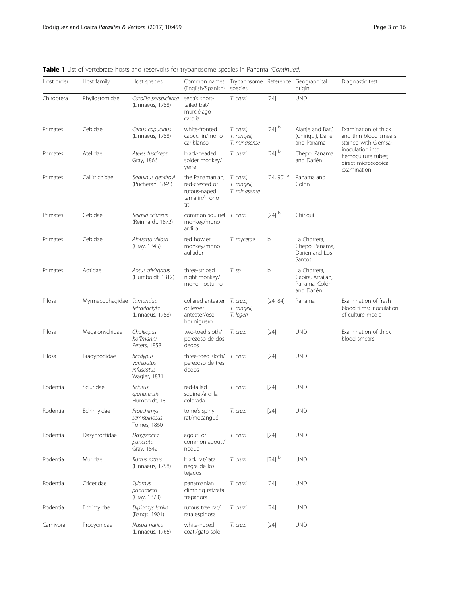# Table 1 List of vertebrate hosts and reservoirs for trypanosome species in Panama (Continued)

| Host order | Host family              | Host species                                         | Common names<br>(English/Spanish)                                         | Trypanosome Reference<br>species         |                         | Geographical<br>origin                                           | Diagnostic test                                                               |
|------------|--------------------------|------------------------------------------------------|---------------------------------------------------------------------------|------------------------------------------|-------------------------|------------------------------------------------------------------|-------------------------------------------------------------------------------|
| Chiroptera | Phyllostomidae           | Carollia perspicillata<br>(Linnaeus, 1758)           | seba's short-<br>tailed bat/<br>murciélago<br>carolia                     | T. cruzi                                 | $[24]$                  | <b>UND</b>                                                       |                                                                               |
| Primates   | Cebidae                  | Cebus capucinus<br>(Linnaeus, 1758)                  | white-fronted<br>capuchin/mono<br>cariblanco                              | T. cruzi.<br>T. rangeli,<br>T. minasense | $[24]$ $^{\rm b}$       | Alanje and Barú<br>(Chiriquí), Darién<br>and Panama              | Examination of thick<br>and thin blood smears<br>stained with Giemsa;         |
| Primates   | Atelidae                 | Ateles fusciceps<br>Gray, 1866                       | black-headed<br>spider monkey/<br>yerre                                   | T. cruzi                                 | $[24]$ <sup>b</sup>     | Chepo, Panama<br>and Darién                                      | inoculation into<br>hemoculture tubes;<br>direct microscopical<br>examination |
| Primates   | Callitrichidae           | Saguinus geoffroyi<br>(Pucheran, 1845)               | the Panamanian,<br>red-crested or<br>rufous-naped<br>tamarin/mono<br>tití | T. cruzi,<br>T. rangeli,<br>T. minasense | $[24, 90]$ <sup>b</sup> | Panama and<br>Colón                                              |                                                                               |
| Primates   | Cebidae                  | Saimiri sciureus<br>(Reinhardt, 1872)                | common squirrel T. cruzi<br>monkey/mono<br>ardilla                        |                                          | $[24]$ <sup>b</sup>     | Chiriquí                                                         |                                                                               |
| Primates   | Cebidae                  | Alouatta villosa<br>(Gray, 1845)                     | red howler<br>monkey/mono<br>aullador                                     | T. mycetae                               | b                       | La Chorrera,<br>Chepo, Panama,<br>Darien and Los<br>Santos       |                                                                               |
| Primates   | Aotidae                  | Aotus trivirgatus<br>(Humboldt, 1812)                | three-striped<br>night monkey/<br>mono nocturno                           | T. sp.                                   | b                       | La Chorrera,<br>Capira, Arraiján,<br>Panama, Colón<br>and Darién |                                                                               |
| Pilosa     | Myrmecophagidae Tamandua | tetradactyla<br>(Linnaeus, 1758)                     | collared anteater<br>or lesser<br>anteater/oso<br>hormiguero              | T. cruzi,<br>T. rangeli,<br>T. legeri    | [24, 84]                | Panama                                                           | Examination of fresh<br>blood films; inoculation<br>of culture media          |
| Pilosa     | Megalonychidae           | Choleopus<br>hoffmanni<br>Peters, 1858               | two-toed sloth/<br>perezoso de dos<br>dedos                               | T. cruzi                                 | $[24]$                  | <b>UND</b>                                                       | Examination of thick<br>blood smears                                          |
| Pilosa     | Bradypodidae             | Bradypus<br>variegatus<br>infuscatus<br>Wagler, 1831 | three-toed sloth/ T. cruzi<br>perezoso de tres<br>dedos                   |                                          | $[24]$                  | <b>UND</b>                                                       |                                                                               |
| Rodentia   | Sciuridae                | Sciurus<br>granatensis<br>Humboldt, 1811             | red-tailed<br>squirrel/ardilla<br>colorada                                | T. cruzi                                 | $[24]$                  | <b>UND</b>                                                       |                                                                               |
| Rodentia   | Echimyidae               | Proechimys<br>semispinosus<br>Tomes, 1860            | tome's spiny<br>rat/mocangué                                              | T. cruzi                                 | $[24]$                  | <b>UND</b>                                                       |                                                                               |
| Rodentia   | Dasyproctidae            | Dasyprocta<br>punctata<br>Gray, 1842                 | agouti or<br>common agouti/<br>neque                                      | T. cruzi                                 | $[24]$                  | <b>UND</b>                                                       |                                                                               |
| Rodentia   | Muridae                  | Rattus rattus<br>(Linnaeus, 1758)                    | black rat/rata<br>negra de los<br>tejados                                 | T. cruzi                                 | $\left[ 24\right]$ b    | <b>UND</b>                                                       |                                                                               |
| Rodentia   | Cricetidae               | Tylomys<br>panamesis<br>(Gray, 1873)                 | panamanian<br>climbing rat/rata<br>trepadora                              | T. cruzi                                 | $[24]$                  | <b>UND</b>                                                       |                                                                               |
| Rodentia   | Echimyidae               | Diplomys labilis<br>(Bangs, 1901)                    | rufous tree rat/<br>rata espinosa                                         | T. cruzi                                 | $[24]$                  | <b>UND</b>                                                       |                                                                               |
| Carnivora  | Procyonidae              | Nasua narica<br>(Linnaeus, 1766)                     | white-nosed<br>coati/gato solo                                            | T. cruzi                                 | $[24]$                  | <b>UND</b>                                                       |                                                                               |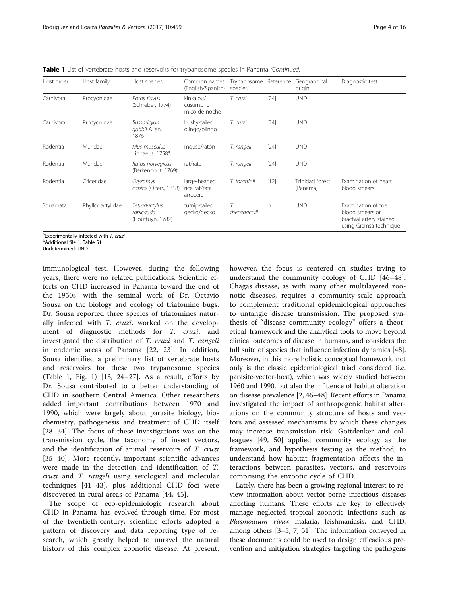Table 1 List of vertebrate hosts and reservoirs for trypanosome species in Panama (Continued)

| Host order | Host family      | Host species                                        | Common names<br>(English/Spanish)         | Trypanosome<br>species | Reference | Geographical<br>origin      | Diagnostic test                                                                            |
|------------|------------------|-----------------------------------------------------|-------------------------------------------|------------------------|-----------|-----------------------------|--------------------------------------------------------------------------------------------|
| Carnivora  | Procyonidae      | Potos flavus<br>(Schreber, 1774)                    | kinkajou/<br>cusumbi o<br>mico de noche   | T. cruzi               | $[24]$    | <b>UND</b>                  |                                                                                            |
| Carnivora  | Procyonidae      | Bassaricyon<br>gabbii Allen,<br>1876                | bushy-tailed<br>olingo/olingo             | T. cruzi               | $[24]$    | <b>UND</b>                  |                                                                                            |
| Rodentia   | Muridae          | Mus musculus<br>Linnaeus, 1758 <sup>a</sup>         | mouse/ratón                               | T. rangeli             | $[24]$    | <b>UND</b>                  |                                                                                            |
| Rodentia   | Muridae          | Ratus norvegicus<br>(Berkenhout, 1769) <sup>a</sup> | rat/rata                                  | T. rangeli             | $[24]$    | <b>UND</b>                  |                                                                                            |
| Rodentia   | Cricetidae       | Oryzomys<br>capito (Olfers, 1818)                   | large-headed<br>rice rat/rata<br>arrocera | T. forattinii          | $[12]$    | Trinidad forest<br>(Panama) | Examination of heart<br>blood smears                                                       |
| Squamata   | Phyllodactylidae | Tetradactylus<br>rapicauda<br>(Houttuyn, 1782)      | turnip-tailed<br>gecko/gecko              | T.<br>thecadactyli     | b         | <b>UND</b>                  | Examination of toe<br>blood smears or<br>brachial artery stained<br>using Giemsa technique |

<sup>a</sup> Experimentally infected with T. cruzi<br><sup>b</sup> Additional file 1: Table S1

<sup>b</sup>Additional file [1](#page-12-0): Table S1

Undetermined: UND

immunological test. However, during the following years, there were no related publications. Scientific efforts on CHD increased in Panama toward the end of the 1950s, with the seminal work of Dr. Octavio Sousa on the biology and ecology of triatomine bugs. Dr. Sousa reported three species of triatomines naturally infected with T. cruzi, worked on the development of diagnostic methods for T. cruzi, and investigated the distribution of T. cruzi and T. rangeli in endemic areas of Panama [[22, 23\]](#page-13-0). In addition, Sousa identified a preliminary list of vertebrate hosts and reservoirs for these two trypanosome species (Table [1,](#page-1-0) Fig. [1\)](#page-4-0) [\[13](#page-13-0), [24](#page-13-0)–[27](#page-13-0)]. As a result, efforts by Dr. Sousa contributed to a better understanding of CHD in southern Central America. Other researchers added important contributions between 1970 and 1990, which were largely about parasite biology, biochemistry, pathogenesis and treatment of CHD itself [[28](#page-13-0)–[34\]](#page-13-0). The focus of these investigations was on the transmission cycle, the taxonomy of insect vectors, and the identification of animal reservoirs of T. cruzi [[35](#page-13-0)–[40\]](#page-13-0). More recently, important scientific advances were made in the detection and identification of T. cruzi and T. rangeli using serological and molecular techniques [\[41](#page-13-0)–[43](#page-13-0)], plus additional CHD foci were discovered in rural areas of Panama [\[44](#page-13-0), [45](#page-13-0)].

The scope of eco-epidemiologic research about CHD in Panama has evolved through time. For most of the twentieth-century, scientific efforts adopted a pattern of discovery and data reporting type of research, which greatly helped to unravel the natural history of this complex zoonotic disease. At present, however, the focus is centered on studies trying to understand the community ecology of CHD [\[46](#page-13-0)–[48](#page-13-0)]. Chagas disease, as with many other multilayered zoonotic diseases, requires a community-scale approach to complement traditional epidemiological approaches to untangle disease transmission. The proposed synthesis of "disease community ecology" offers a theoretical framework and the analytical tools to move beyond clinical outcomes of disease in humans, and considers the full suite of species that influence infection dynamics [[48](#page-13-0)]. Moreover, in this more holistic conceptual framework, not only is the classic epidemiological triad considered (i.e. parasite-vector-host), which was widely studied between 1960 and 1990, but also the influence of habitat alteration on disease prevalence [\[2](#page-12-0), [46](#page-13-0)–[48\]](#page-13-0). Recent efforts in Panama investigated the impact of anthropogenic habitat alterations on the community structure of hosts and vectors and assessed mechanisms by which these changes may increase transmission risk. Gottdenker and colleagues [\[49, 50](#page-13-0)] applied community ecology as the framework, and hypothesis testing as the method, to understand how habitat fragmentation affects the interactions between parasites, vectors, and reservoirs comprising the enzootic cycle of CHD.

Lately, there has been a growing regional interest to review information about vector-borne infectious diseases affecting humans. These efforts are key to effectively manage neglected tropical zoonotic infections such as Plasmodium vivax malaria, leishmaniasis, and CHD, among others [[3](#page-12-0)–[5](#page-12-0), [7](#page-13-0), [51\]](#page-13-0). The information conveyed in these documents could be used to design efficacious prevention and mitigation strategies targeting the pathogens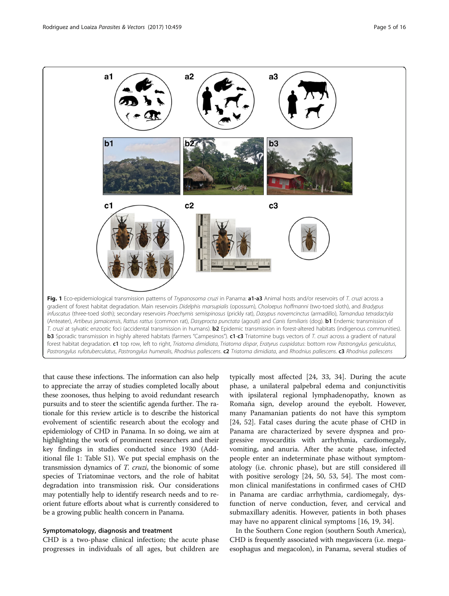<span id="page-4-0"></span>

that cause these infections. The information can also help to appreciate the array of studies completed locally about these zoonoses, thus helping to avoid redundant research pursuits and to steer the scientific agenda further. The rationale for this review article is to describe the historical evolvement of scientific research about the ecology and epidemiology of CHD in Panama. In so doing, we aim at highlighting the work of prominent researchers and their key findings in studies conducted since 1930 (Additional file 1: Table S1). We put special emphasis on the transmission dynamics of T. cruzi, the bionomic of some species of Triatominae vectors, and the role of habitat degradation into transmission risk. Our considerations may potentially help to identify research needs and to reorient future efforts about what is currently considered to be a growing public health concern in Panama.

#### Symptomatology, diagnosis and treatment

CHD is a two-phase clinical infection; the acute phase progresses in individuals of all ages, but children are

typically most affected [[24](#page-13-0), [33, 34\]](#page-13-0). During the acute phase, a unilateral palpebral edema and conjunctivitis with ipsilateral regional lymphadenopathy, known as Romaña sign, develop around the eyebolt. However, many Panamanian patients do not have this symptom [[24, 52\]](#page-13-0). Fatal cases during the acute phase of CHD in Panama are characterized by severe dyspnea and progressive myocarditis with arrhythmia, cardiomegaly, vomiting, and anuria. After the acute phase, infected people enter an indeterminate phase without symptomatology (i.e. chronic phase), but are still considered ill with positive serology [[24, 50, 53](#page-13-0), [54\]](#page-13-0). The most common clinical manifestations in confirmed cases of CHD in Panama are cardiac arrhythmia, cardiomegaly, dysfunction of nerve conduction, fever, and cervical and submaxillary adenitis. However, patients in both phases may have no apparent clinical symptoms [\[16, 19, 34\]](#page-13-0).

In the Southern Cone region (southern South America), CHD is frequently associated with megaviscera (i.e. megaesophagus and megacolon), in Panama, several studies of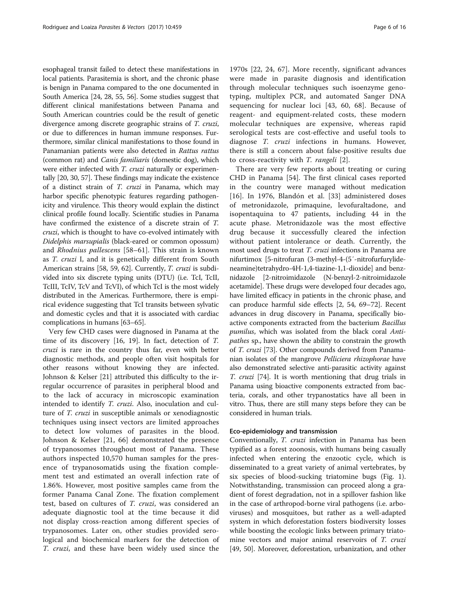esophageal transit failed to detect these manifestations in local patients. Parasitemia is short, and the chronic phase is benign in Panama compared to the one documented in South America [[24](#page-13-0), [28, 55, 56\]](#page-13-0). Some studies suggest that different clinical manifestations between Panama and South American countries could be the result of genetic divergence among discrete geographic strains of T. cruzi, or due to differences in human immune responses. Furthermore, similar clinical manifestations to those found in Panamanian patients were also detected in Rattus rattus (common rat) and Canis familiaris (domestic dog), which were either infected with *T. cruzi* naturally or experimentally [\[20, 30, 57](#page-13-0)]. These findings may indicate the existence of a distinct strain of T. cruzi in Panama, which may harbor specific phenotypic features regarding pathogenicity and virulence. This theory would explain the distinct clinical profile found locally. Scientific studies in Panama have confirmed the existence of a discrete strain of T. cruzi, which is thought to have co-evolved intimately with Didelphis marsupialis (black-eared or common opossum) and Rhodnius pallescens [[58](#page-13-0)–[61\]](#page-13-0). This strain is known as T. cruzi I, and it is genetically different from South American strains [[58](#page-13-0), [59,](#page-13-0) [62\]](#page-14-0). Currently, *T. cruzi* is subdivided into six discrete typing units (DTU) (i.e. TcI, TcII, TcIII, TcIV, TcV and TcVI), of which TcI is the most widely distributed in the Americas. Furthermore, there is empirical evidence suggesting that TcI transits between sylvatic and domestic cycles and that it is associated with cardiac complications in humans [\[63](#page-14-0)–[65](#page-14-0)].

Very few CHD cases were diagnosed in Panama at the time of its discovery [[16](#page-13-0), [19](#page-13-0)]. In fact, detection of T. cruzi is rare in the country thus far, even with better diagnostic methods, and people often visit hospitals for other reasons without knowing they are infected. Johnson & Kelser [[21\]](#page-13-0) attributed this difficulty to the irregular occurrence of parasites in peripheral blood and to the lack of accuracy in microscopic examination intended to identify T. cruzi. Also, inoculation and culture of T. cruzi in susceptible animals or xenodiagnostic techniques using insect vectors are limited approaches to detect low volumes of parasites in the blood. Johnson & Kelser [\[21](#page-13-0), [66](#page-14-0)] demonstrated the presence of trypanosomes throughout most of Panama. These authors inspected 10,570 human samples for the presence of trypanosomatids using the fixation complement test and estimated an overall infection rate of 1.86%. However, most positive samples came from the former Panama Canal Zone. The fixation complement test, based on cultures of T. cruzi, was considered an adequate diagnostic tool at the time because it did not display cross-reaction among different species of trypanosomes. Later on, other studies provided serological and biochemical markers for the detection of T. cruzi, and these have been widely used since the

1970s [[22, 24](#page-13-0), [67\]](#page-14-0). More recently, significant advances were made in parasite diagnosis and identification through molecular techniques such isoenzyme genotyping, multiplex PCR, and automated Sanger DNA sequencing for nuclear loci [[43, 60,](#page-13-0) [68\]](#page-14-0). Because of reagent- and equipment-related costs, these modern molecular techniques are expensive, whereas rapid serological tests are cost-effective and useful tools to diagnose T. cruzi infections in humans. However, there is still a concern about false-positive results due to cross-reactivity with T. rangeli [[2\]](#page-12-0).

There are very few reports about treating or curing CHD in Panama [[54](#page-13-0)]. The first clinical cases reported in the country were managed without medication [[16\]](#page-13-0). In 1976, Blandón et al. [[33\]](#page-13-0) administered doses of metronidazole, primaquine, levofuraltadone, and isopentaquina to 47 patients, including 44 in the acute phase. Metronidazole was the most effective drug because it successfully cleared the infection without patient intolerance or death. Currently, the most used drugs to treat *T. cruzi* infections in Panama are nifurtimox [5-nitrofuran (3-methyl-4-(5′-nitrofurfurylideneamine)tetrahydro-4H-1,4-tiazine-1,1-dioxide] and benznidazole [2-nitroimidazole (N-benzyl-2-nitroimidazole acetamide]. These drugs were developed four decades ago, have limited efficacy in patients in the chronic phase, and can produce harmful side effects [\[2](#page-12-0), [54](#page-13-0), [69](#page-14-0)–[72\]](#page-14-0). Recent advances in drug discovery in Panama, specifically bioactive components extracted from the bacterium Bacillus pumilus, which was isolated from the black coral Antipathes sp., have shown the ability to constrain the growth of T. cruzi [[73\]](#page-14-0). Other compounds derived from Panamanian isolates of the mangrove Pelliciera rhizophorae have also demonstrated selective anti-parasitic activity against T. cruzi [\[74](#page-14-0)]. It is worth mentioning that drug trials in Panama using bioactive components extracted from bacteria, corals, and other trypanostatics have all been in vitro. Thus, there are still many steps before they can be considered in human trials.

## Eco-epidemiology and transmission

Conventionally, T. cruzi infection in Panama has been typified as a forest zoonosis, with humans being casually infected when entering the enzootic cycle, which is disseminated to a great variety of animal vertebrates, by six species of blood-sucking triatomine bugs (Fig. [1](#page-4-0)). Notwithstanding, transmission can proceed along a gradient of forest degradation, not in a spillover fashion like in the case of arthropod-borne viral pathogens (i.e. arboviruses) and mosquitoes, but rather as a well-adapted system in which deforestation fosters biodiversity losses while boosting the ecologic links between primary triatomine vectors and major animal reservoirs of T. cruzi [[49, 50](#page-13-0)]. Moreover, deforestation, urbanization, and other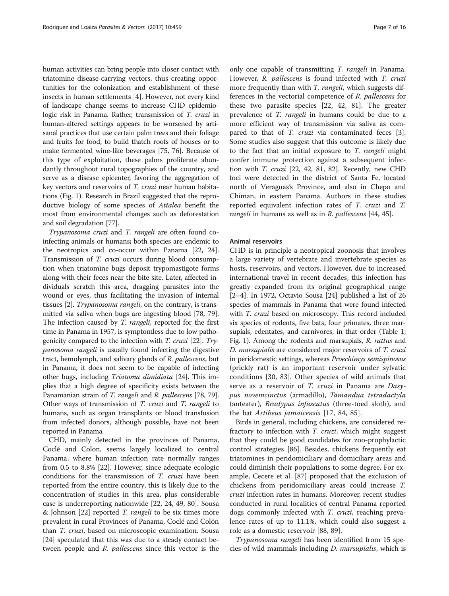human activities can bring people into closer contact with triatomine disease-carrying vectors, thus creating opportunities for the colonization and establishment of these insects in human settlements [[4](#page-12-0)]. However, not every kind of landscape change seems to increase CHD epidemiologic risk in Panama. Rather, transmission of T. cruzi in human-altered settings appears to be worsened by artisanal practices that use certain palm trees and their foliage and fruits for food, to build thatch roofs of houses or to make fermented wine-like beverages [[75](#page-14-0), [76\]](#page-14-0). Because of this type of exploitation, these palms proliferate abundantly throughout rural topographies of the country, and serve as a disease epicenter, favoring the aggregation of key vectors and reservoirs of T. cruzi near human habitations (Fig. [1\)](#page-4-0). Research in Brazil suggested that the reproductive biology of some species of Attalea benefit the most from environmental changes such as deforestation and soil degradation [\[77](#page-14-0)].

Trypanosoma cruzi and T. rangeli are often found coinfecting animals or humans; both species are endemic to the neotropics and co-occur within Panama [[22, 24](#page-13-0)]. Transmission of T. cruzi occurs during blood consumption when triatomine bugs deposit trypomastigote forms along with their feces near the bite site. Later, affected individuals scratch this area, dragging parasites into the wound or eyes, thus facilitating the invasion of internal tissues [[2](#page-12-0)]. Trypanosoma rangeli, on the contrary, is transmitted via saliva when bugs are ingesting blood [\[78, 79](#page-14-0)]. The infection caused by T. rangeli, reported for the first time in Panama in 1957, is symptomless due to low pathogenicity compared to the infection with T. cruzi [\[22\]](#page-13-0). Trypanosoma rangeli is usually found infecting the digestive tract, hemolymph, and salivary glands of R. pallescens, but in Panama, it does not seem to be capable of infecting other bugs, including Triatoma dimidiata [\[24\]](#page-13-0). This implies that a high degree of specificity exists between the Panamanian strain of T. rangeli and R. pallescens [\[78, 79](#page-14-0)]. Other ways of transmission of T. cruzi and T. rangeli to humans, such as organ transplants or blood transfusion from infected donors, although possible, have not been reported in Panama.

CHD, mainly detected in the provinces of Panama, Coclé and Colon, seems largely localized to central Panama, where human infection rate normally ranges from 0.5 to 8.8% [[22\]](#page-13-0). However, since adequate ecologic conditions for the transmission of T. cruzi have been reported from the entire country, this is likely due to the concentration of studies in this area, plus considerable case is underreporting nationwide [\[22, 24](#page-13-0), [49](#page-13-0), [80](#page-14-0)]. Sousa & Johnson  $[22]$  reported *T. rangeli* to be six times more prevalent in rural Provinces of Panama, Coclé and Colón than T. cruzi, based on microscopic examination. Sousa [[24\]](#page-13-0) speculated that this was due to a steady contact between people and R. pallescens since this vector is the only one capable of transmitting T. rangeli in Panama. However, R. pallescens is found infected with T. cruzi more frequently than with *T. rangeli*, which suggests differences in the vectorial competence of R. pallescens for these two parasite species [[22](#page-13-0), [42,](#page-13-0) [81](#page-14-0)]. The greater prevalence of T. rangeli in humans could be due to a more efficient way of transmission via saliva as compared to that of *T. cruzi* via contaminated feces [\[3](#page-12-0)]. Some studies also suggest that this outcome is likely due to the fact that an initial exposure to T. rangeli might confer immune protection against a subsequent infection with T. cruzi [[22, 42,](#page-13-0) [81](#page-14-0), [82](#page-14-0)]. Recently, new CHD foci were detected in the district of Santa Fe, located north of Veraguas's Province, and also in Chepo and Chiman, in eastern Panama. Authors in these studies reported equivalent infection rates of T. cruzi and T. *rangeli* in humans as well as in R. pallescens  $[44, 45]$  $[44, 45]$ .

### Animal reservoirs

CHD is in principle a neotropical zoonosis that involves a large variety of vertebrate and invertebrate species as hosts, reservoirs, and vectors. However, due to increased international travel in recent decades, this infection has greatly expanded from its original geographical range [[2](#page-12-0)–[4\]](#page-12-0). In 1972, Octavio Sousa [\[24\]](#page-13-0) published a list of 26 species of mammals in Panama that were found infected with *T. cruzi* based on microscopy. This record included six species of rodents, five bats, four primates, three marsupials, edentates, and carnivores, in that order (Table [1](#page-1-0); Fig. [1](#page-4-0)). Among the rodents and marsupials, R. rattus and D. marsupialis are considered major reservoirs of T. cruzi in peridomestic settings, whereas Proechimys semispinosus (prickly rat) is an important reservoir under sylvatic conditions [[30,](#page-13-0) [83\]](#page-14-0). Other species of wild animals that serve as a reservoir of T. cruzi in Panama are Dasypus novemcinctus (armadillo), Tamandua tetradactyla (anteater), Bradypus infuscatus (three-toed sloth), and the bat Artibeus jamaicensis [\[17](#page-13-0), [84, 85\]](#page-14-0).

Birds in general, including chickens, are considered refractory to infection with T. cruzi, which might suggest that they could be good candidates for zoo-prophylactic control strategies [\[86](#page-14-0)]. Besides, chickens frequently eat triatomines in peridomiciliary and domiciliary areas and could diminish their populations to some degree. For example, Cecere et al. [\[87](#page-14-0)] proposed that the exclusion of chickens from peridomiciliary areas could increase T. cruzi infection rates in humans. Moreover, recent studies conducted in rural localities of central Panama reported dogs commonly infected with T. cruzi, reaching prevalence rates of up to 11.1%, which could also suggest a role as a domestic reservoir [[88, 89\]](#page-14-0).

Trypanosoma rangeli has been identified from 15 species of wild mammals including D. marsupialis, which is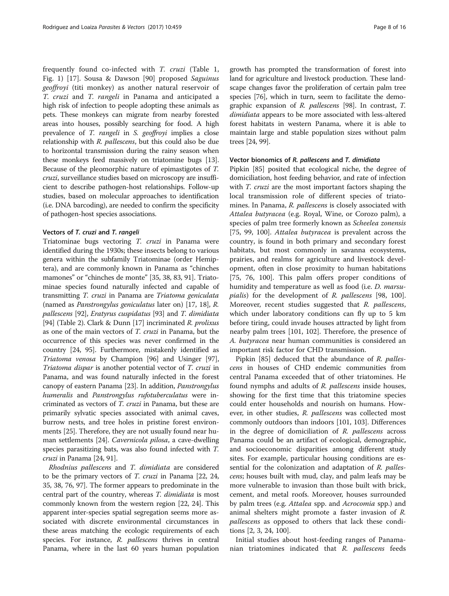frequently found co-infected with T. cruzi (Table [1](#page-1-0), Fig. [1\)](#page-4-0) [[17\]](#page-13-0). Sousa & Dawson [[90\]](#page-14-0) proposed Saguinus geoffroyi (titi monkey) as another natural reservoir of T. cruzi and T. rangeli in Panama and anticipated a high risk of infection to people adopting these animals as pets. These monkeys can migrate from nearby forested areas into houses, possibly searching for food. A high prevalence of T. rangeli in S. geoffroyi implies a close relationship with R. pallescens, but this could also be due to horizontal transmission during the rainy season when these monkeys feed massively on triatomine bugs [[13](#page-13-0)]. Because of the pleomorphic nature of epimastigotes of T. cruzi, surveillance studies based on microscopy are insufficient to describe pathogen-host relationships. Follow-up studies, based on molecular approaches to identification (i.e. DNA barcoding), are needed to confirm the specificity of pathogen-host species associations.

#### Vectors of T. cruzi and T. rangeli

Triatominae bugs vectoring T. cruzi in Panama were identified during the 1930s; these insects belong to various genera within the subfamily Triatominae (order Hemiptera), and are commonly known in Panama as "chinches mamones" or "chinches de monte" [\[35](#page-13-0), [38](#page-13-0), [83, 91](#page-14-0)]. Triatominae species found naturally infected and capable of transmitting T. cruzi in Panama are Triatoma geniculata (named as Panstrongylus geniculatus later on) [\[17](#page-13-0), [18](#page-13-0)], R. pallescens [\[92](#page-14-0)], Eratyrus cuspidatus [[93](#page-14-0)] and T. dimidiata [[94](#page-14-0)] (Table [2\)](#page-8-0). Clark & Dunn [\[17\]](#page-13-0) incriminated R. prolixus as one of the main vectors of T. cruzi in Panama, but the occurrence of this species was never confirmed in the country [\[24,](#page-13-0) [95\]](#page-14-0). Furthermore, mistakenly identified as Triatoma venosa by Champion [[96](#page-14-0)] and Usinger [[97](#page-14-0)], Triatoma dispar is another potential vector of T. cruzi in Panama, and was found naturally infected in the forest canopy of eastern Panama [\[23\]](#page-13-0). In addition, Panstrongylus humeralis and Panstrongylus rufotuberculatus were incriminated as vectors of T. cruzi in Panama, but these are primarily sylvatic species associated with animal caves, burrow nests, and tree holes in pristine forest environments [\[25\]](#page-13-0). Therefore, they are not usually found near human settlements [\[24\]](#page-13-0). Cavernicola pilosa, a cave-dwelling species parasitizing bats, was also found infected with T. cruzi in Panama [[24](#page-13-0), [91\]](#page-14-0).

Rhodnius pallescens and T. dimidiata are considered to be the primary vectors of T. cruzi in Panama [\[22, 24](#page-13-0), [35](#page-13-0), [38](#page-13-0), [76, 97\]](#page-14-0). The former appears to predominate in the central part of the country, whereas T. dimidiata is most commonly known from the western region [\[22, 24](#page-13-0)]. This apparent inter-species spatial segregation seems more associated with discrete environmental circumstances in these areas matching the ecologic requirements of each species. For instance, R. pallescens thrives in central Panama, where in the last 60 years human population

growth has prompted the transformation of forest into land for agriculture and livestock production. These landscape changes favor the proliferation of certain palm tree species [[76](#page-14-0)], which in turn, seem to facilitate the demographic expansion of R. pallescens [\[98\]](#page-14-0). In contrast, T. dimidiata appears to be more associated with less-altered forest habitats in western Panama, where it is able to maintain large and stable population sizes without palm trees [\[24](#page-13-0), [99](#page-14-0)].

## Vector bionomics of R. pallescens and T. dimidiata

Pipkin [\[85](#page-14-0)] posited that ecological niche, the degree of domiciliation, host feeding behavior, and rate of infection with *T. cruzi* are the most important factors shaping the local transmission role of different species of triatomines. In Panama, R. pallescens is closely associated with Attalea butyracea (e.g. Royal, Wine, or Corozo palm), a species of palm tree formerly known as Scheelea zonensis [[75, 99, 100](#page-14-0)]. Attalea butyracea is prevalent across the country, is found in both primary and secondary forest habitats, but most commonly in savanna ecosystems, prairies, and realms for agriculture and livestock development, often in close proximity to human habitations [[75, 76, 100](#page-14-0)]. This palm offers proper conditions of humidity and temperature as well as food (i.e. *D. marsu*pialis) for the development of R. pallescens [[98](#page-14-0), [100](#page-14-0)]. Moreover, recent studies suggested that R. pallescens, which under laboratory conditions can fly up to 5 km before tiring, could invade houses attracted by light from nearby palm trees [\[101](#page-14-0), [102](#page-14-0)]. Therefore, the presence of A. butyracea near human communities is considered an important risk factor for CHD transmission.

Pipkin [\[85](#page-14-0)] deduced that the abundance of R. pallescens in houses of CHD endemic communities from central Panama exceeded that of other triatomines. He found nymphs and adults of R. pallescens inside houses, showing for the first time that this triatomine species could enter households and nourish on humans. However, in other studies, R. pallescens was collected most commonly outdoors than indoors [\[101](#page-14-0), [103](#page-14-0)]. Differences in the degree of domiciliation of R. pallescens across Panama could be an artifact of ecological, demographic, and socioeconomic disparities among different study sites. For example, particular housing conditions are essential for the colonization and adaptation of R. pallescens; houses built with mud, clay, and palm leafs may be more vulnerable to invasion than those built with brick, cement, and metal roofs. Moreover, houses surrounded by palm trees (e.g. Attalea spp. and Acrocomia spp.) and animal shelters might promote a faster invasion of R. pallescens as opposed to others that lack these conditions [[2, 3,](#page-12-0) [24,](#page-13-0) [100\]](#page-14-0).

Initial studies about host-feeding ranges of Panamanian triatomines indicated that R. pallescens feeds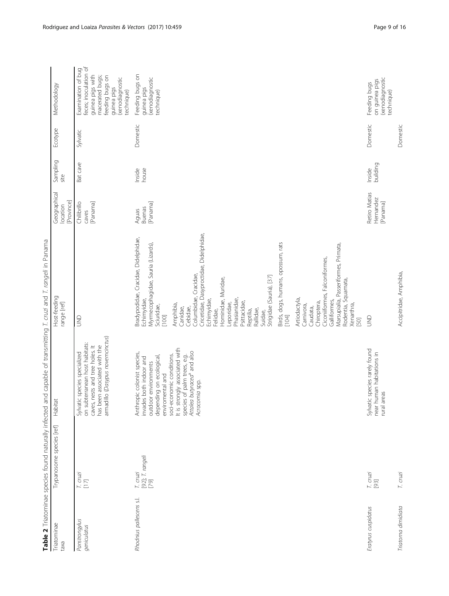<span id="page-8-0"></span>

|                              |                                      |                                                                                                                                                                                                                                                                                           | Table 2 Triatominae species found naturally infected and capable of transmitting T. cruzi and T. rangeli in Panama                                                                                                                                                                                                                                                                                                                                                                                                                                                                                                                            |                                        |                    |          |                                                                                                                                                       |
|------------------------------|--------------------------------------|-------------------------------------------------------------------------------------------------------------------------------------------------------------------------------------------------------------------------------------------------------------------------------------------|-----------------------------------------------------------------------------------------------------------------------------------------------------------------------------------------------------------------------------------------------------------------------------------------------------------------------------------------------------------------------------------------------------------------------------------------------------------------------------------------------------------------------------------------------------------------------------------------------------------------------------------------------|----------------------------------------|--------------------|----------|-------------------------------------------------------------------------------------------------------------------------------------------------------|
| Triatominae<br>taxa          | Trypanosome species [ref]            | Habitat                                                                                                                                                                                                                                                                                   | Host-feeding<br>range [ref]                                                                                                                                                                                                                                                                                                                                                                                                                                                                                                                                                                                                                   | Geographical<br>[Province]<br>location | Sampling<br>site   | Ecotype  | Methodology                                                                                                                                           |
| Panstrongylus<br>geniculatus | T. cruzi<br>$[17]$                   | armadillo (Dasypus novemcinctus)<br>on subterranean host habitats:<br>has been associated with the<br>caves, nests and tree holes. It<br>Sylvatic species specialized                                                                                                                     |                                                                                                                                                                                                                                                                                                                                                                                                                                                                                                                                                                                                                                               | Chilibrillo<br>[Panama]<br>caves       | Bat cave           | Sylvatic | feces; inoculation of<br>Examination of bug<br>guinea pigs with<br>feeding bugs on<br>macerated bugs;<br>(xenodiagnostic<br>quinea pigs<br>technique) |
| Rhodnius pallescens s.l.     | [92]; T. rangeli<br>[79]<br>T. cruzi | It is strongly associated with<br>Attalea butyracea <sup>ª</sup> and also<br>Anthropic colonist species,<br>soci-economic conditions.<br>species of palm trees, e.g.<br>depending on ecological,<br>invades both indoor and<br>outdoor environments<br>enviromental and<br>Acrocomia spp. | Cricetidae, Dasyproctidae, Didelphidae,<br>Bradypodidae, Cracidae, Didelphidae,<br>Birds, dogs, humans, opossum, rats<br>Myrmecophagidae, Sauria (Lizards),<br>Marsupialia, Passeriformes, Primata,<br>Ciconiiformes, Falconiformes,<br>Columbidae, Cracidae,<br>Strigidae (Sauria), [37]<br>Hominidae, Muridae,<br>Rodentia, Squamata,<br>Artiodactyla,<br>Phasianidae,<br>Echimyidae,<br>Echimyidae,<br>Galliformes,<br>Psittacidae,<br>Chiroptera,<br>Leporidae,<br>Amphibia,<br>Carnivora,<br>Xenarthra,<br>Sciuridae,<br>Caudata,<br>Canidae,<br>Cebidae,<br>Rallidae,<br>Reptilia,<br>Felidae,<br>Suidae,<br>$[100]$<br>$[104]$<br>[50] | [Panama]<br>Buenas<br>Aguas            | house<br>Inside    | Domestic | Feeding bugs on<br>(xenodiagnostic<br>guinea pigs<br>technique)                                                                                       |
| Eratyrus cuspidatus          | $T_{\cdot}$ cruzi<br>$[93]$          | Sylvatic species rarely found<br>near human habitations in<br>rural areas                                                                                                                                                                                                                 | $\leq$                                                                                                                                                                                                                                                                                                                                                                                                                                                                                                                                                                                                                                        | Retiro Matias<br>Hernandez<br>[Panama] | building<br>Inside | Domestic | (xenodiagnostic<br>on guinea pigs<br>Feeding bugs<br>technique)                                                                                       |
| Triatoma dimidiata           | T. cruzi                             |                                                                                                                                                                                                                                                                                           | Accipitridae, Amphibia,                                                                                                                                                                                                                                                                                                                                                                                                                                                                                                                                                                                                                       |                                        |                    | Domestic |                                                                                                                                                       |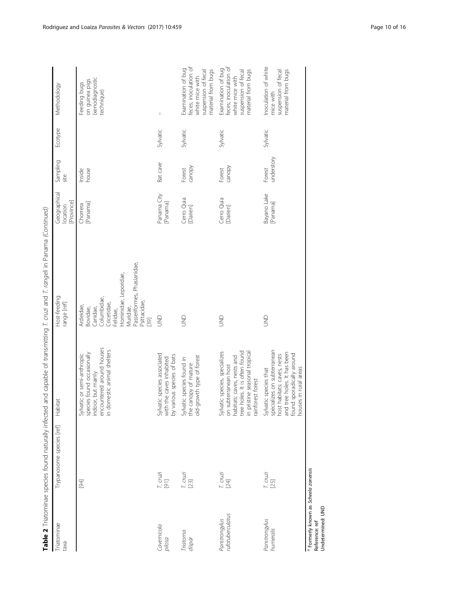|                                                                                        | Table 2 Triatominae species found naturally infected |                                                                                                                                                                            | and capable of transmitting T. cruzi and T. rangeli in Panama (Continued)                                                                                              |                                        |                      |          |                                                                                                             |
|----------------------------------------------------------------------------------------|------------------------------------------------------|----------------------------------------------------------------------------------------------------------------------------------------------------------------------------|------------------------------------------------------------------------------------------------------------------------------------------------------------------------|----------------------------------------|----------------------|----------|-------------------------------------------------------------------------------------------------------------|
| Triatominae<br>taxa                                                                    | Trypanosome species [ref]                            | Habitat                                                                                                                                                                    | Host-feeding<br>range [ref]                                                                                                                                            | Geographical<br>[Province]<br>location | Sampling<br>site     | Ecotype  | Methodology                                                                                                 |
|                                                                                        | $[94]$                                               | encountered around houses<br>in domestic animal shelters<br>species found occasionally<br>Sylvatic or semi-anthropic<br>indoor, but mainly                                 | Passeriformes, Phasianidae,<br>Felidae,<br>Hominidae, Leporidae,<br>Columbidae,<br>Psittacidae,<br>Cricetidae,<br>Ardeidae,<br>Canidae,<br>Vluridae,<br>Bovidae,<br>59 | [Panama]<br>Chorrera                   | house<br>Inside      |          | (xenodiagnostic<br>on guinea pigs<br>Feeding bugs<br>technique)                                             |
| Cavernicola<br>pilosa                                                                  | T. cruzi<br>[91]                                     | Sylvatic species associated<br>by various species of bats<br>with the caves inhabited                                                                                      | $\approx$                                                                                                                                                              | Panama City<br>[Panama]                | Bat cave             | Sylvatic | $\bar{\rm I}$                                                                                               |
| Triatoma<br>dispar                                                                     | T. cruzi<br>[23]                                     | old-growth type of forest<br>Sylvatic species found in<br>the canopy of mature                                                                                             | $\frac{D}{2}$                                                                                                                                                          | Cerro Quia<br>[Darien]                 | canopy<br>Forest     | Sylvatic | feces; inoculation of<br>Examination of bug<br>material from bugs<br>suspension of fecal<br>white mice with |
| rufotuberculatus<br>Panstrongylus                                                      | T. cruzi<br>[24]                                     | tree holes. It is often found<br>Sylvatic species, specializes<br>in pristine seasonal tropical<br>habitats: caves, nests and<br>on subterranean host<br>rainforest forest | $\frac{D}{2}$                                                                                                                                                          | Cerro Quia<br>[Darien]                 | canopy<br>Forest     | Sylvatic | feces; inoculation of<br>Examination of bug<br>material from bugs<br>suspension of fecal<br>white mice with |
| Panstrongylus<br>humeralis                                                             | T. cruzi<br>[25]                                     | specializes on subterranean<br>and tree holes. It has been<br>found sporadically around<br>host habitats: caves, nests<br>houses in rural areas<br>Sylvatic species that   | $\leq$                                                                                                                                                                 | Bayano Lake<br>[Panama]                | understory<br>Forest | Sylvatic | Inoculation of white<br>material from bugs<br>suspension of fecal<br>mice with                              |
| <sup>a</sup> Formerly known as Scheela zonensis<br>Undetermined: UND<br>Reference: ref |                                                      |                                                                                                                                                                            |                                                                                                                                                                        |                                        |                      |          |                                                                                                             |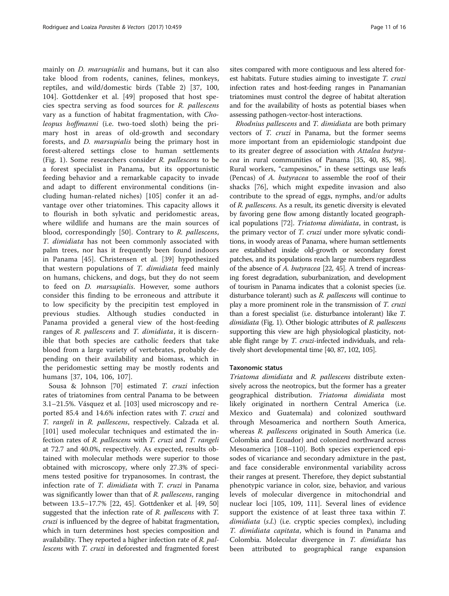mainly on *D. marsupialis* and humans, but it can also take blood from rodents, canines, felines, monkeys, reptiles, and wild/domestic birds (Table [2](#page-8-0)) [[37,](#page-13-0) [100](#page-14-0), [104\]](#page-14-0). Gottdenker et al. [\[49](#page-13-0)] proposed that host species spectra serving as food sources for R. pallescens vary as a function of habitat fragmentation, with Choleopus hoffmanni (i.e. two-toed sloth) being the primary host in areas of old-growth and secondary forests, and D. marsupialis being the primary host in forest-altered settings close to human settlements (Fig. [1\)](#page-4-0). Some researchers consider R. pallescens to be a forest specialist in Panama, but its opportunistic feeding behavior and a remarkable capacity to invade and adapt to different environmental conditions (including human-related niches) [[105\]](#page-14-0) confer it an advantage over other triatomines. This capacity allows it to flourish in both sylvatic and peridomestic areas, where wildlife and humans are the main sources of blood, correspondingly [[50\]](#page-13-0). Contrary to R. pallescens, T. dimidiata has not been commonly associated with palm trees, nor has it frequently been found indoors in Panama [\[45](#page-13-0)]. Christensen et al. [[39\]](#page-13-0) hypothesized that western populations of T. dimidiata feed mainly on humans, chickens, and dogs, but they do not seem to feed on D. marsupialis. However, some authors consider this finding to be erroneous and attribute it to low specificity by the precipitin test employed in previous studies. Although studies conducted in Panama provided a general view of the host-feeding ranges of R. pallescens and T. dimidiata, it is discernible that both species are catholic feeders that take blood from a large variety of vertebrates, probably depending on their availability and biomass, which in the peridomestic setting may be mostly rodents and humans [[37,](#page-13-0) [104, 106](#page-14-0), [107](#page-14-0)].

Sousa & Johnson [[70\]](#page-14-0) estimated T. cruzi infection rates of triatomines from central Panama to be between 3.1–21.5%. Vásquez et al. [\[103](#page-14-0)] used microscopy and reported 85.4 and 14.6% infection rates with T. cruzi and T. rangeli in R. pallescens, respectively. Calzada et al. [[101\]](#page-14-0) used molecular techniques and estimated the infection rates of R. pallescens with T. cruzi and T. rangeli at 72.7 and 40.0%, respectively. As expected, results obtained with molecular methods were superior to those obtained with microscopy, where only 27.3% of specimens tested positive for trypanosomes. In contrast, the infection rate of T. dimidiata with T. cruzi in Panama was significantly lower than that of R. pallescens, ranging between 13.5–17.7% [[22, 45](#page-13-0)]. Gottdenker et al. [\[49, 50](#page-13-0)] suggested that the infection rate of R. pallescens with T. cruzi is influenced by the degree of habitat fragmentation, which in turn determines host species composition and availability. They reported a higher infection rate of R. pallescens with T. cruzi in deforested and fragmented forest sites compared with more contiguous and less altered forest habitats. Future studies aiming to investigate T. cruzi infection rates and host-feeding ranges in Panamanian triatomines must control the degree of habitat alteration and for the availability of hosts as potential biases when assessing pathogen-vector-host interactions.

Rhodnius pallescens and T. dimidiata are both primary vectors of T. cruzi in Panama, but the former seems more important from an epidemiologic standpoint due to its greater degree of association with Attalea butyracea in rural communities of Panama [\[35](#page-13-0), [40](#page-13-0), [85](#page-14-0), [98](#page-14-0)]. Rural workers, "campesinos," in these settings use leafs (Pencas) of A. butyracea to assemble the roof of their shacks [[76](#page-14-0)], which might expedite invasion and also contribute to the spread of eggs, nymphs, and/or adults of R. pallescens. As a result, its genetic diversity is elevated by favoring gene flow among distantly located geographical populations [[72](#page-14-0)]. Triatoma dimidiata, in contrast, is the primary vector of T. cruzi under more sylvatic conditions, in woody areas of Panama, where human settlements are established inside old-growth or secondary forest patches, and its populations reach large numbers regardless of the absence of A. butyracea [\[22](#page-13-0), [45\]](#page-13-0). A trend of increasing forest degradation, suburbanization, and development of tourism in Panama indicates that a colonist species (i.e. disturbance tolerant) such as R. pallescens will continue to play a more prominent role in the transmission of T. cruzi than a forest specialist (i.e. disturbance intolerant) like T. dimidiata (Fig. [1](#page-4-0)). Other biologic attributes of R. pallescens supporting this view are high physiological plasticity, notable flight range by T. cruzi-infected individuals, and relatively short developmental time [[40,](#page-13-0) [87, 102, 105\]](#page-14-0).

#### Taxonomic status

Triatoma dimidiata and R. pallescens distribute extensively across the neotropics, but the former has a greater geographical distribution. Triatoma dimidiata most likely originated in northern Central America (i.e. Mexico and Guatemala) and colonized southward through Mesoamerica and northern South America, whereas R. pallescens originated in South America (i.e. Colombia and Ecuador) and colonized northward across Mesoamerica [[108](#page-14-0)–[110](#page-14-0)]. Both species experienced episodes of vicariance and secondary admixture in the past, and face considerable environmental variability across their ranges at present. Therefore, they depict substantial phenotypic variance in color, size, behavior, and various levels of molecular divergence in mitochondrial and nuclear loci [[105, 109, 111\]](#page-14-0). Several lines of evidence support the existence of at least three taxa within T. dimidiata (s.l.) (i.e. cryptic species complex), including T. dimidiata capitata, which is found in Panama and Colombia. Molecular divergence in T. dimidiata has been attributed to geographical range expansion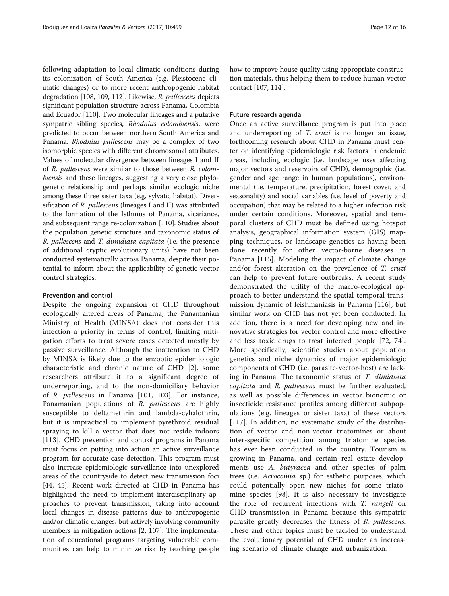following adaptation to local climatic conditions during its colonization of South America (e.g. Pleistocene climatic changes) or to more recent anthropogenic habitat degradation [[108](#page-14-0), [109](#page-14-0), [112\]](#page-15-0). Likewise, R. pallescens depicts significant population structure across Panama, Colombia and Ecuador [\[110\]](#page-14-0). Two molecular lineages and a putative sympatric sibling species, Rhodnius colombiensis, were predicted to occur between northern South America and Panama. Rhodnius pallescens may be a complex of two isomorphic species with different chromosomal attributes. Values of molecular divergence between lineages I and II of R. pallescens were similar to those between R. colombiensis and these lineages, suggesting a very close phylogenetic relationship and perhaps similar ecologic niche among these three sister taxa (e.g. sylvatic habitat). Diversification of R. pallescens (lineages I and II) was attributed to the formation of the Isthmus of Panama, vicariance, and subsequent range re-colonization [[110](#page-14-0)]. Studies about the population genetic structure and taxonomic status of R. pallescens and T. dimidiata capitata (i.e. the presence of additional cryptic evolutionary units) have not been conducted systematically across Panama, despite their potential to inform about the applicability of genetic vector control strategies.

## Prevention and control

Despite the ongoing expansion of CHD throughout ecologically altered areas of Panama, the Panamanian Ministry of Health (MINSA) does not consider this infection a priority in terms of control, limiting mitigation efforts to treat severe cases detected mostly by passive surveillance. Although the inattention to CHD by MINSA is likely due to the enzootic epidemiologic characteristic and chronic nature of CHD [[2\]](#page-12-0), some researchers attribute it to a significant degree of underreporting, and to the non-domiciliary behavior of R. pallescens in Panama [[101, 103\]](#page-14-0). For instance, Panamanian populations of R. pallescens are highly susceptible to deltamethrin and lambda-cyhalothrin, but it is impractical to implement pyrethroid residual spraying to kill a vector that does not reside indoors [[113\]](#page-15-0). CHD prevention and control programs in Panama must focus on putting into action an active surveillance program for accurate case detection. This program must also increase epidemiologic surveillance into unexplored areas of the countryside to detect new transmission foci [[44](#page-13-0), [45\]](#page-13-0). Recent work directed at CHD in Panama has highlighted the need to implement interdisciplinary approaches to prevent transmission, taking into account local changes in disease patterns due to anthropogenic and/or climatic changes, but actively involving community members in mitigation actions [\[2](#page-12-0), [107\]](#page-14-0). The implementation of educational programs targeting vulnerable communities can help to minimize risk by teaching people how to improve house quality using appropriate construction materials, thus helping them to reduce human-vector contact [[107](#page-14-0), [114](#page-15-0)].

## Future research agenda

Once an active surveillance program is put into place and underreporting of T. cruzi is no longer an issue, forthcoming research about CHD in Panama must center on identifying epidemiologic risk factors in endemic areas, including ecologic (i.e. landscape uses affecting major vectors and reservoirs of CHD), demographic (i.e. gender and age range in human populations), environmental (i.e. temperature, precipitation, forest cover, and seasonality) and social variables (i.e. level of poverty and occupation) that may be related to a higher infection risk under certain conditions. Moreover, spatial and temporal clusters of CHD must be defined using hotspot analysis, geographical information system (GIS) mapping techniques, or landscape genetics as having been done recently for other vector-borne diseases in Panama [[115\]](#page-15-0). Modeling the impact of climate change and/or forest alteration on the prevalence of T. cruzi can help to prevent future outbreaks. A recent study demonstrated the utility of the macro-ecological approach to better understand the spatial-temporal transmission dynamic of leishmaniasis in Panama [[116\]](#page-15-0), but similar work on CHD has not yet been conducted. In addition, there is a need for developing new and innovative strategies for vector control and more effective and less toxic drugs to treat infected people [\[72](#page-14-0), [74](#page-14-0)]. More specifically, scientific studies about population genetics and niche dynamics of major epidemiologic components of CHD (i.e. parasite-vector-host) are lacking in Panama. The taxonomic status of T. dimidiata capitata and R. pallescens must be further evaluated, as well as possible differences in vector bionomic or insecticide resistance profiles among different subpopulations (e.g. lineages or sister taxa) of these vectors [[117\]](#page-15-0). In addition, no systematic study of the distribution of vector and non-vector triatomines or about inter-specific competition among triatomine species has ever been conducted in the country. Tourism is growing in Panama, and certain real estate developments use A. butyracea and other species of palm trees (i.e. Acrocomia sp.) for esthetic purposes, which could potentially open new niches for some triatomine species [[98](#page-14-0)]. It is also necessary to investigate the role of recurrent infections with T. rangeli on CHD transmission in Panama because this sympatric parasite greatly decreases the fitness of R. pallescens. These and other topics must be tackled to understand the evolutionary potential of CHD under an increasing scenario of climate change and urbanization.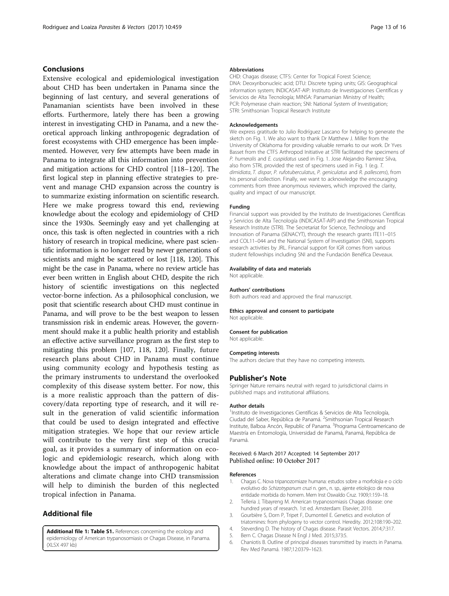## <span id="page-12-0"></span>Conclusions

Extensive ecological and epidemiological investigation about CHD has been undertaken in Panama since the beginning of last century, and several generations of Panamanian scientists have been involved in these efforts. Furthermore, lately there has been a growing interest in investigating CHD in Panama, and a new theoretical approach linking anthropogenic degradation of forest ecosystems with CHD emergence has been implemented. However, very few attempts have been made in Panama to integrate all this information into prevention and mitigation actions for CHD control [\[118](#page-15-0)–[120](#page-15-0)]. The first logical step in planning effective strategies to prevent and manage CHD expansion across the country is to summarize existing information on scientific research. Here we make progress toward this end, reviewing knowledge about the ecology and epidemiology of CHD since the 1930s. Seemingly easy and yet challenging at once, this task is often neglected in countries with a rich history of research in tropical medicine, where past scientific information is no longer read by newer generations of scientists and might be scattered or lost [\[118](#page-15-0), [120\]](#page-15-0). This might be the case in Panama, where no review article has ever been written in English about CHD, despite the rich history of scientific investigations on this neglected vector-borne infection. As a philosophical conclusion, we posit that scientific research about CHD must continue in Panama, and will prove to be the best weapon to lessen transmission risk in endemic areas. However, the government should make it a public health priority and establish an effective active surveillance program as the first step to mitigating this problem [[107](#page-14-0), [118](#page-15-0), [120\]](#page-15-0). Finally, future research plans about CHD in Panama must continue using community ecology and hypothesis testing as the primary instruments to understand the overlooked complexity of this disease system better. For now, this is a more realistic approach than the pattern of discovery/data reporting type of research, and it will result in the generation of valid scientific information that could be used to design integrated and effective mitigation strategies. We hope that our review article will contribute to the very first step of this crucial goal, as it provides a summary of information on ecologic and epidemiologic research, which along with knowledge about the impact of anthropogenic habitat alterations and climate change into CHD transmission will help to diminish the burden of this neglected tropical infection in Panama.

# Additional file

[Additional file 1: Table S1.](dx.doi.org/10.1186/s13071-017-2380-5) References concerning the ecology and epidemiology of American trypanosomiasis or Chagas Disease, in Panama. (XI SX 497 kb)

#### Abbreviations

CHD: Chagas disease; CTFS: Center for Tropical Forest Science; DNA: Deoxyribonucleic acid; DTU: Discrete typing units; GIS: Geographical information system; INDICASAT-AIP: Instituto de Investigaciones Científicas y Servicios de Alta Tecnología; MINSA: Panamanian Ministry of Health; PCR: Polymerase chain reaction; SNI: National System of Investigation; STRI: Smithsonian Tropical Research Institute

#### Acknowledgements

We express gratitude to Julio Rodríguez Lascano for helping to generate the sketch on Fig. [1](#page-4-0). We also want to thank Dr Matthew J. Miller from the University of Oklahoma for providing valuable remarks to our work. Dr Yves Basset from the CTFS Arthropod Initiative at STRI facilitated the specimens of P. humeralis and E. cuspidatus used in Fig. [1](#page-4-0). Jose Alejandro Ramirez Silva, also from STRI, provided the rest of specimens used in Fig. [1](#page-4-0) (e.g. T. dimidiata, T. dispar, P. rufotuberculatus, P. geniculatus and R. pallescens), from his personal collection. Finally, we want to acknowledge the encouraging comments from three anonymous reviewers, which improved the clarity, quality and impact of our manuscript.

#### Funding

Financial support was provided by the Instituto de Investigaciones Científicas y Servicios de Alta Tecnología (INDICASAT-AIP) and the Smithsonian Tropical Research Institute (STRI). The Secretariat for Science, Technology and Innovation of Panama (SENACYT), through the research grants ITE11–015 and COL11–044 and the National System of Investigation (SNI), supports research activities by JRL. Financial support for IGR comes from various student fellowships including SNI and the Fundación Benéfica Deveaux.

#### Availability of data and materials

Not applicable.

#### Authors' contributions

Both authors read and approved the final manuscript.

## Ethics approval and consent to participate

Not applicable.

## Consent for publication

Not applicable.

#### Competing interests

The authors declare that they have no competing interests.

#### Publisher's Note

Springer Nature remains neutral with regard to jurisdictional claims in published maps and institutional affiliations.

#### Author details

<sup>1</sup>Instituto de Investigaciones Científicas & Servicios de Alta Tecnología, Ciudad del Saber, República de Panamá. <sup>2</sup>Smithsonian Tropical Research Institute, Balboa Ancón, Republic of Panama. <sup>3</sup> Programa Centroamericano de Maestría en Entomología, Universidad de Panamá, Panamá, República de Panamá.

### Received: 6 March 2017 Accepted: 14 September 2017 Published online: 10 October 2017

#### References

- 1. Chagas C. Nova tripanozomiaze humana: estudos sobre a morfolojia e o ciclo evolutivo do Schizotrypanum cruzi n. gen., n. sp., ajente etiolojico de nova entidade morbida do homem. Mem Inst Oswaldo Cruz. 1909;1:159–18.
- 2. Telleria J, Tibayreng M. American trypanosomiasis Chagas disease: one hundred years of research. 1st ed. Amsterdam: Elsevier; 2010.
- 3. Gourbière S, Dorn P, Tripet F, Dumonteil E. Genetics and evolution of triatomines: from phylogeny to vector control. Heredity. 2012;108:190–202. 4. Steverding D. The history of Chagas disease. Parasit Vectors. 2014;7:317.
- 
- 5. Bern C. Chagas Disease N Engl J Med. 2015;373:5.
- 6. Chaniotis B. Outline of principal diseases transmitted by insects in Panama. Rev Med Panamá. 1987;12:0379–1623.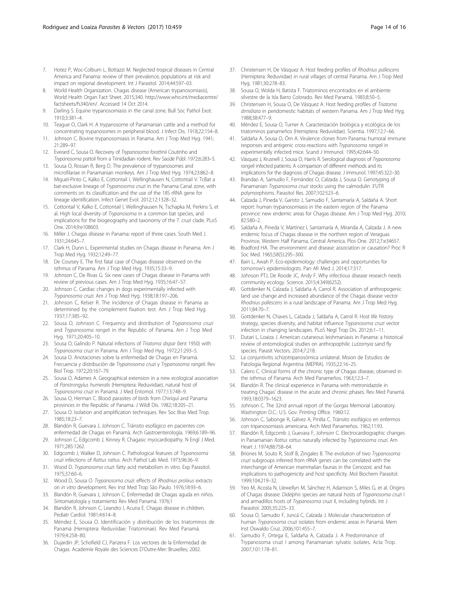- <span id="page-13-0"></span>7. Hotez P, Woc-Colburn L, Bottazzi M. Neglected tropical diseases in Central America and Panama: review of their prevalence, populations at risk and impact on regional development. Int J Parasitol. 2014;44:597–03.
- 8. World Health Organization. Chagas disease (American trypanosomiasis), World Health Organ Fact Sheet. 2015;340. [http://www.who.int/mediacentre/](http://www.who.int/mediacentre/factsheets/fs340/en) [factsheets/fs340/en/](http://www.who.int/mediacentre/factsheets/fs340/en). Accessed 14 Oct 2014.
- 9. Darling S. Equine trypanosomiasis in the canal zone. Bull Soc Pathol Exot. 1910;3:381–4.
- 10. Teague O, Clark H. A trypanosome of Panamanian cattle and a method for concentrating trypanosomes in peripheral blood. J Infect Dis. 1918;22:154–8.
- 11. Johnson C. Bovine trypanosomiasis in Panama. Am J Trop Med Hyg. 1941; 21:289–97.
- 12. Everard C, Sousa O. Recovery of Trypanosoma forattinii Coutinho and Trypanosoma pattoli from a Trinidadian rodent. Rev Saúde Públ. 1972;6:283–5.
- 13. Sousa O, Rossan R, Berg D. The prevalence of trypanosomes and microfilariae in Panamanian monkeys. Am J Trop Med Hyg. 1974;23:862–8.
- 14. Miguel-Pinto C, Kalko E, Cottontail I, Wellinghausen N, Cottontail V. TcBat a bat-exclusive lineage of Trypanosoma cruzi in the Panama Canal zone, with comments on its classification and the use of the 18S rRNA gene for lineage identification. Infect Genet Evol. 2012;12:1328–32.
- 15. Cottontail V, Kalko E, Cottontail I, Wellinghausen N, Tschapka M, Perkins S, et al. High local diversity of Trypanosoma in a common bat species, and implications for the biogeography and taxonomy of the T. cruzi clade. PLoS One. 2014;9:e108603.
- Miller J. Chagas disease in Panama: report of three cases. South Med J. 1931;24:645–7.
- 17. Clark H, Dunn L. Experimental studies on Chagas disease in Panama. Am J Trop Med Hyg. 1932;12:49–77.
- 18. De Coursey E. The first fatal case of Chagas disease observed on the isthmus of Panama. Am J Trop Med Hyg. 1935;15:33–9.
- 19. Johnson C, De Rivas G. Six new cases of Chagas disease in Panama with review of previous cases. Am J Trop Med Hyg. 1935;16:47–57.
- 20. Johnson C. Cardiac changes in dogs experimentally infected with Trypanosoma cruzi. Am J Trop Med Hyg. 1938;18:197–206.
- 21. Johnson C, Kelser R. The incidence of Chagas disease in Panama as determined by the complement fixation test. Am J Trop Med Hyg. 1937;17:385–92.
- 22. Sousa O, Johnson C. Frequency and distribution of Trypanosoma cruzi and Trypanosoma rangeli in the Republic of Panama. Am J Trop Med Hyg. 1971;20:405–10.
- 23. Sousa O, Galindo P. Natural infections of Triatoma dispar (lent 1950) with Trypanosoma cruzi in Panama. Am J Trop Med Hyg. 1972;21:293–5.
- 24. Sousa O. Anotaciones sobre la enfermedad de Chagas en Panamá. Frecuencia y distribución de Trypanosoma cruzi y Trypanosoma rangeli. Rev Biol Trop. 1972;20:167–79.
- 25. Sousa O, Adames A. Geographical extension in a new ecological association of Panstrongylus humeralis (Hemiptera: Reduviidae), natural host of Trypanosoma cruzi in Panamá. J Med Entomol. 1977;13:748–9.
- 26. Sousa O, Herman C. Blood parasites of birds from Chiriquí and Panama provinces in the Republic of Panama. J Wildl Dis. 1982;18:205–21.
- 27. Sousa O. Isolation and amplification techniques. Rev Soc Bras Med Trop. 1985;18:23–7.
- 28. Blandón R, Guevara J, Johnson C. Tránsito esofágico en pacientes con enfermedad de Chagas en Panamá. Arch Gastroenterología. 1969;6:189–96.
- 29. Johnson C, Edgcomb J, Kinney R. Chagasic myocardiopathy. N Engl J Med. 1971;285:1262.
- 30. Edgcomb J, Walker D, Johnson C. Pathological features of Trypanosoma cruzi infections of Rattus rattus. Arch Pathol Lab Med. 1973;96:36–9.
- 31. Wood D. Trypanosoma cruzi: fatty acid metabolism in vitro. Exp Parasitol. 1975;37:60–6.
- 32. Wood D, Sousa O. Trypanosoma cruzi: effects of Rhodnius prolixus extracts on in vitro development. Rev Inst Med Trop São Paulo. 1976;18:93–6.
- 33. Blandón R, Guevara J, Johnson C. Enfermedad de Chagas aguda en niños. Sintomatología y tratamiento Rev Med Panamá. 1976;1
- 34. Blandón R, Johnson C, Leandro I, Acuna E. Chagas disease in children. Pediatr Cardiol. 1981;4:614–8.
- 35. Méndez E, Sousa O. Identificación y distribución de los triatominos de Panamá (Hemiptera: Reduviidae: Triatominae). Rev Med Panamá. 1979;4:258–80.
- 36. Dujardin JP, Schofield CJ, Panzera F. Los vectores de la Enfermedad de Chagas. Academie Royale des Sciences D'Outre-Mer: Bruxelles; 2002.
- 37. Christensen H, De Vásquez A. Host feeding profiles of Rhodnius pallescens (Hemiptera: Reduviidae) in rural villages of central Panama. Am J Trop Med Hyg. 1981;30:278–83.
- 38. Sousa O, Wolda H, Batista F. Triatominos encontrados en el ambiente silvestre de la Isla Barro Colorado. Rev Med Panamá. 1983;8:50–5.
- 39. Christensen H, Sousa O, De Vásquez A. Host feeding profiles of Triatoma dimidiata in peridomestic habitats of western Panama. Am J Trop Med Hyg. 1988;38:477–9.
- 40. Méndez E, Sousa O, Turner A. Caracterización biológica y ecológica de los triatominos panameños (Hemiptera: Reduviidae). Scientia. 1997;12:7–66.
- 41. Saldaña A, Sousa O, Örn A. Virulence clones from Panama: humoral immune responses and antigenic cross-reactions with Trypanosoma rangeli in experimentally infected mice. Scand J Immunol. 1995;42:644–50.
- 42. Vásquez J, Krusnell J, Sousa O, Harris R. Serological diagnosis of Trypanosoma rangeli infected patients. A comparison of different methods and its implications for the diagnosis of Chagas disease. J Immunol. 1997;45:322–30.
- 43. Brandao A, Samudio F, Fernández O, Calzada J, Sousa O. Genotyping of Panamanian Trypanosoma cruzi stocks using the calmodulin 3'UTR polymorphisms. Parasitol Res. 2007;102:523–6.
- 44. Calzada J, Pineda V, Garisto J, Samudio F, Santamaría A, Saldaña A. Short report: human trypanosomiasis in the eastern region of the Panama province: new endemic areas for Chagas disease. Am J Trop Med Hyg. 2010; 82:580–2.
- 45. Saldaña A, Pineda V, Martínez I, Santamaría A, Miranda A, Calzada J. A new endemic focus of Chagas disease in the northern region of Veraguas Province, Western Half Panama, Central America. Plos One. 2012;7:e34657.
- 46. Bradford HA. The environment and disease: association or causation? Proc R Soc Med. 1965;58(5):295–300.
- 47. Bain L, Awah P. Eco-epidemiology: challenges and opportunities for tomorrow's epidemiologists. Pan Afr Med J. 2014;17:317.
- 48. Johnson PTJ, De Roode JC, Andy F. Why infectious disease research needs community ecology. Science. 2015;4:349(6252).
- 49. Gottdenker N, Calzada J, Saldaña A, Carrol R. Association of anthropogenic land use change and increased abundance of the Chagas disease vector Rhodnius pallescens in a rural landscape of Panama. Am J Trop Med Hyg. 2011;84:70–7.
- 50. Gottdenker N, Chaves L, Calzada J, Saldaña A, Carrol R. Host life history strategy, species diversity, and habitat influence Trypanosoma cruzi vector infection in changing landscapes. PLoS Negl Trop Dis. 2012;6:1–11.
- 51. Dutari L, Loaiza J. American cutaneous leishmaniasis in Panama: a historical review of entomological studies on anthropophilic Lutzomyia sand fly species. Parasit Vectors. 2014;7:218.
- 52. La conjuntivitis schizotripanosómica unilateral. Mision de Estudios de Patologia Regional Argentina (MEPRA). 1935;22:16–25.
- 53. Calero C. Clinical forms of the chronic type of Chagas disease, observed in the isthmus of Panama. Arch Med Panameños. 1963;12:3–7.
- 54. Blandón R. The clinical experience in Panama with metronidazole in treating Chagas' disease in the acute and chronic phases. Rev Med Panamá. 1993;18:0379–1623.
- 55. Johnson C. The 32nd annual report of the Gorgas Memorial Laboratory. Washington D.C.: U.S. Gov. Printing Office. 1960:12.
- 56. Johnson C, Sabonge R, Gálvez A, Pinilla C. Tránsito esofágico en enfermos con tripanosomiasis americana. Arch Med Panameños. 1962;11:93.
- 57. Blandón R, Edgcomb J, Guevara F, Johnson C. Electrocardiographic changes in Panamanian Rattus rattus naturally infected by Trypanosoma cruzi. Am Heart J. 1974;88:758–64.
- 58. Briones M, Souto R, Stolf B, Zingales B. The evolution of two Trypanosoma cruzi subgroups inferred from rRNA genes can be correlated with the interchange of American mammalian faunas in the Cenozoic and has implications to pathogenicity and host specificity. Mol Biochem Parasitol. 1999;104:219–32.
- 59. Yeo M, Acosta N, Llewellyn M, Sánchez H, Adamson S, Miles G, et al. Origins of Chagas disease: Didelphis species are natural hosts of Trypanosoma cruzi I and armadillos hosts of Trypanosoma cruzi II, including hybrids. Int J Parasitol. 2005;35:225–33.
- 60. Sousa O, Samudio F, Juncá C, Calzada J. Molecular characterization of human Trypanosoma cruzi isolates from endemic areas in Panamá. Mem Inst Oswaldo Cruz. 2006;101:455–7.
- 61. Samudio F, Ortega E, Saldaña A, Calzada J. A Predominance of Trypanosoma cruzi I among Panamanian sylvatic isolates. Acta Trop. 2007;101:178–81.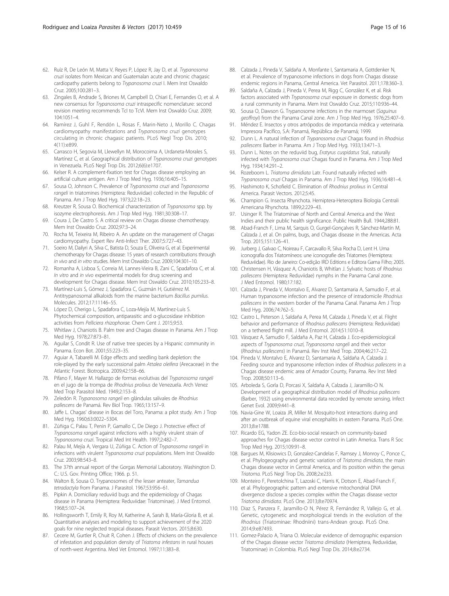- <span id="page-14-0"></span>62. Ruíz R, De León M, Matta V, Reyes P, López R, Jay D, et al. Trypanosoma cruzi isolates from Mexican and Guatemalan acute and chronic chagasic cardiopathy patients belong to Trypanosoma cruzi I. Mem Inst Oswaldo Cruz. 2005;100:281–3.
- 63. Zingales B, Andrade S, Briones M, Campbell D, Chiari E, Fernandes O, et al. A new consensus for Trypanosoma cruzi intraspecific nomenclature: second revision meeting recommends TcI to TcVI. Mem Inst Oswaldo Cruz. 2009; 104:1051–4.
- 64. Ramírez J, Guhl F, Rendón L, Rosas F, Marin-Neto J, Morillo C. Chagas cardiomyopathy manifestations and Trypanosoma cruzi genotypes circulating in chronic chagasic patients. PLoS Negl Trop Dis. 2010; 4(11):e899.
- 65. Carrasco H, Segovia M, Llewellyn M, Morocoima A, Urdaneta-Morales S, Martínez C, et al. Geographical distribution of Trypanosoma cruzi genotypes in Venezuela. PLoS Negl Trop Dis. 2012;6(6):e1707.
- 66. Kelser R. A complement-fixation test for Chagas disease employing an artificial culture antigen. Am J Trop Med Hyg. 1936;16:405–15.
- 67. Sousa O, Johnson C. Prevalence of Trypanosoma cruzi and Trypanosoma rangeli in triatomines (Hemiptera: Reduviidae) collected in the Republic of Panama. Am J Trop Med Hyg. 1973;22:18–23.
- 68. Kreutzer R, Sousa O. Biochemical characterization of Trypanosoma spp. by isozyme electrophoresis. Am J Trop Med Hyg. 1981;30:308–17.
- 69. Coura J, De Castro S. A critical review on Chagas disease chemotherapy. Mem Inst Oswaldo Cruz. 2002;97:3–24.
- 70. Rocha M, Teixeira M, Ribeiro A. An update on the management of Chagas cardiomyopathy. Expert Rev Anti-Infect Ther. 2007;5:727–43.
- 71. Soeiro M, Dailyri A, Silva C, Batista D, Souza E, Oliveira G, et al. Experimental chemotherapy for Chagas disease: 15 years of research contributions through in vivo and in vitro studies. Mem Inst Oswaldo Cruz. 2009;104:301–10.
- 72. Romanha A, Lisboa S, Correia M, Lannes-Vieira B, Zani C, Spadafora C, et al. In vitro and in vivo experimental models for drug screening and development for Chagas disease. Mem Inst Oswaldo Cruz. 2010;105:233–8.
- 73. Martínez-Luis S, Gómez J, Spadafora C, Guzmán H, Gutiérrez M. Antitrypanosomal allkaloids from the marine bacterium Bacillus pumilus. Molecules. 2012;17:11146–55.
- 74. López D, Cherigo L, Spadafora C, Loza-Mejía M, Martínez-Luis S. Phytochemical composition, antiparasitic and α-glucosidase inhibition activities from Pelliciera rhizophorae. Chem Cent J. 2015;9:53.
- 75. Whitlaw J, Chaniotis B. Palm tree and Chagas disease in Panama. Am J Trop Med Hyg. 1978;27:873–81.
- 76. Aguilar S, Condit R. Use of native tree species by a Hispanic community in Panama. Econ Bot. 2001;55:223–35.
- 77. Aguiar A, Tabarelli M. Edge effects and seedling bank depletion: the role-played by the early successional palm Attalea oleifera (Arecaceae) in the Atlantic Forest. Biotropica. 2009;42:158–66.
- 78. Pifano F, Mayer M. Hallazgo de formas evolutivas del Trypanosoma rangeli en el jugo de la trompa de Rhodnius prolixus de Venezuela. Arch Venez Med Trop Parasitol Med. 1949;2:153–8.
- 79. Zeledón R. Trypanosoma rangeli en glándulas salivales de Rhodnius pallescens de Panamá. Rev Biol Trop. 1965;13:157–9.
- 80. Jaffe L. Chagas' disease in Bocas del Toro, Panama: a pilot study. Am J Trop Med Hyg. 1960;63:0022–5304.
- 81. Zúñiga C, Palau T, Penin P, Gamallo C, De Diego J. Protective effect of Trypanosoma rangeli against infections with a highly virulent strain of Trypanosoma cruzi. Tropical Med Int Health. 1997;2:482–7.
- 82. Palau M, Mejía A, Vergara U, Zúñiga C. Action of Trypanosoma rangeli in infections with virulent Trypanosoma cruzi populations. Mem Inst Oswaldo Cruz. 2003;98:543–8.
- 83. The 37th annual report of the Gorgas Memorial Laboratory. Washington D. C.: U.S. Gov. Printing Office; 1966. p. 51.
- 84. Walton B, Sousa O. Trypanosomes of the lesser anteater, Tamandua tetradactyla from Panama. J Parasitol. 1967;53:956–61.
- 85. Pipkin A. Domiciliary reduviid bugs and the epidemiology of Chagas disease in Panama (Hemiptera: Reduviidae: Triatominae). J Med Entomol. 1968;5:107–24.
- 86. Hollingsworth T, Emily R, Roy M, Katherine A, Sarah B, María-Gloria B, et al. Quantitative analyses and modeling to support achievement of the 2020 goals for nine neglected tropical diseases. Parasit Vectors. 2015;8:630.
- 87. Cecere M, Gurtler R, Chuit R, Cohen J. Effects of chickens on the prevalence of infestation and population density of Triatoma infestans in rural houses of north-west Argentina. Med Vet Entomol. 1997;11:383–8.
- 88. Calzada J, Pineda V, Saldaña A, Monfante I, Santamaria A, Gottdenker N, et al. Prevalence of trypanosome infections in dogs from Chagas disease endemic regions in Panama, Central America. Vet Parasitol. 2011;178:360–3.
- 89. Saldaña A, Calzada J, Pineda V, Perea M, Rigg C, González K, et al. Risk factors associated with Trypanosoma cruzi exposure in domestic dogs from a rural community in Panama. Mem Inst Oswaldo Cruz. 2015;110:936–44.
- 90. Sousa O, Dawson G. Trypanosome infections in the marmoset (Saguinus geoffroyi) from the Panama Canal zone. Am J Trop Med Hyg. 1976;25:407-9.
- 91. Méndez E. Insectos y otros artrópodos de importancia médica y veterinaria. Impresora Pacífico, S.A: Panamá, República de Panamá; 1999.
- Dunn L. A natural infection of Trypanosoma cruzi Chagas found in Rhodnius pallescens Barber in Panama. Am J Trop Med Hyg. 1933;13:471–3.
- 93. Dunn L. Notes on the reduviid bug, Eratyrus cuspidatus Stal., naturally infected with Trypanosoma cruzi Chagas found in Panama. Am J Trop Med Hyg. 1934;14:291–2.
- Rozeboom L. Triatoma dimidiata Latr. Found naturally infected with Trypanosoma cruzi Chagas in Panama. Am J Trop Med Hyg. 1936;16:481–4.
- 95. Hashimoto K, Schofield C. Elimination of Rhodnius prolixus in Central America. Parasit Vectors. 2012;5:45.
- 96. Champion G. Insecta Rhynchota. Hemiptera-Heteroptera Biologia Centrali Americana Rhynchota. 1899;2:229–43.
- 97. Usinger R. The Triatominae of North and Central America and the West Indies and their public health significance. Public Health Bull. 1944;288:81.
- 98. Abad-Franch F, Lima M, Sarquis O, Gurgel-Gonçalves R, Sánchez-Martín M, Calzada J, et al. On palms, bugs, and Chagas disease in the Americas. Acta Trop. 2015;151:126–41.
- 99. Jurberg J, Galvao C, Noireau F, Carcavallo R, Silva Rocha D, Lent H. Uma iconografia dos Triatomíneos: une iconografie des Triatomes (Hemiptera: Reduviidae). Rio de Janeiro: Co-edição IRD Editions e Editora Gama Filho; 2005.
- 100. Christensen H, Vásquez A, Chaniotis B, Whitlan J. Sylvatic hosts of Rhodnius pallescens (Hemiptera: Reduviidae) nymphs in the Panama Canal zone. J Med Entomol. 1980;17:182.
- 101. Calzada J, Pineda V, Montalvo E, Alvarez D, Santamaria A, Samudio F, et al. Human trypanosome infection and the presence of intradomicile Rhodnius pallescens in the western border of the Panama Canal. Panama Am J Trop Med Hyg. 2006;74:762–5.
- 102. Castro L, Peterson J, Saldaña A, Perea M, Calzada J, Pineda V, et al. Flight behavior and performance of Rhodnius pallescens (Hemiptera: Reduviidae) on a tethered flight mill. J Med Entomol. 2014;51:1010–8.
- 103. Vásquez A, Samudio F, Saldaña A, Paz H, Calzada J. Eco-epidemiological aspects of Trypanosoma cruzi, Trypanosoma rangeli and their vector (Rhodnius pallescens) in Panamá. Rev Inst Med Trop. 2004;46:217–22.
- 104. Pineda V, Montalvo E, Alvarez D, Santamaria A, Saldaña A, Calzada J. Feeding source and trypanosome infection index of Rhodnius pallescens in a Chagas disease endemic area of Amador County, Panama. Rev Inst Med Trop. 2008;50:113–6.
- 105. Arboleda S, Gorla D, Porcasi X, Saldaña A, Calzada J, Jaramillo-O N. Development of a geographical distribution model of Rhodnius pallescens (Barber, 1932) using environmental data recorded by remote sensing. Infect Genet Evol. 2009;9:441–8.
- 106. Navia-Gine W, Loaiza JR, Miller M. Mosquito-host interactions during and after an outbreak of equine viral encephalitis in eastern Panama. PLoS One. 2013;8:e1788.
- 107. Ricardo EG, Yadon ZE. Eco-bio-social research on community-based approaches for Chagas disease vector control in Latin America. Trans R Soc Trop Med Hyg. 2015;109:91–8.
- 108. Bargues M, Klisiowics D, Gonzalez-Candelas F, Ramsey J, Monroy C, Ponce C, et al. Phylogeography and genetic variation of Triatoma dimidiata, the main Chagas disease vector in Central America, and its position within the genus Triatoma. PLoS Negl Trop Dis. 2008;2:e233.
- 109. Monteiro F, Peretolchina T, Lazoski C, Harris K, Dotson E, Abad-Franch F, et al. Phylogeographic pattern and extensive mitochondrial DNA divergence disclose a species complex within the Chagas disease vector Triatoma dimidiata. PLoS One. 2013;8:e70974.
- 110. Diaz S, Panzera F, Jaramillo-O N, Pérez R, Fernández R, Vallejo G, et al. Genetic, cytogenetic and morphological trends in the evolution of the Rhodnius (Triatominae: Rhodniini) trans-Andean group. PLoS One. 2014;9:e87493.
- 111. Gomez-Palacio A, Triana O. Molecular evidence of demographic expansion of the Chagas disease vector Triatoma dimidiata (Hemiptera, Reduviidae, Triatominae) in Colombia. PLoS Negl Trop Dis. 2014;8:e2734.